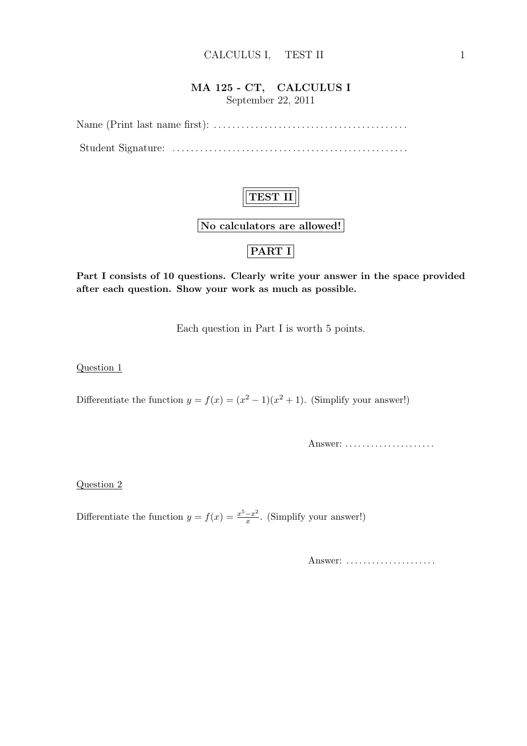### MA 125 - CT, CALCULUS I September 22, 2011

Name (Print last name first): . . . . . . . . . . . . . . . . . . . . . . . . . . . . . . . . . . . . . . . . . . Student Signature: . . . . . . . . . . . . . . . . . . . . . . . . . . . . . . . . . . . . . . . . . . . . . . . . . . .

# TEST II

No calculators are allowed!

## PART I

Part I consists of 10 questions. Clearly write your answer in the space provided after each question. Show your work as much as possible.

Each question in Part I is worth 5 points.

Question 1

Differentiate the function  $y = f(x) = (x^2 - 1)(x^2 + 1)$ . (Simplify your answer!)

Answer: . . . . . . . . . . . . . . . . . . . . .

Question 2

Differentiate the function  $y = f(x) = \frac{x^5 - x^2}{x}$  $\frac{-x^2}{x}$ . (Simplify your answer!)

Answer: .....................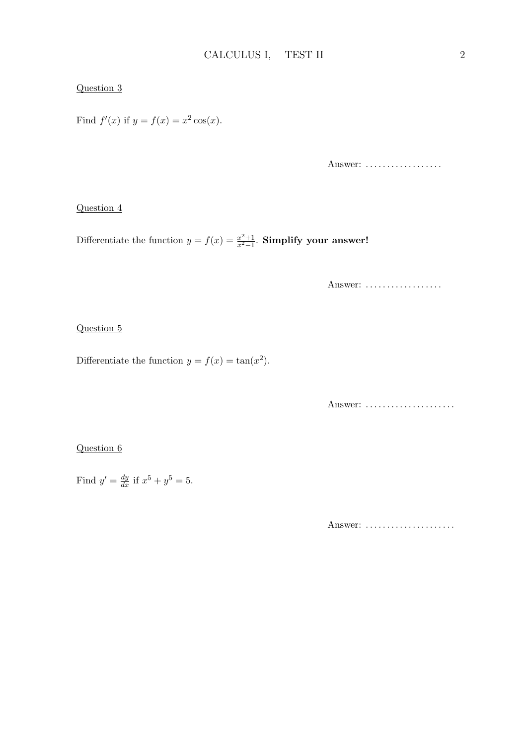#### Question 3

Find  $f'(x)$  if  $y = f(x) = x^2 \cos(x)$ .

Answer: ..................

#### Question 4

Differentiate the function  $y = f(x) = \frac{x^2+1}{x^2-1}$  $\frac{x^2+1}{x^2-1}$ . Simplify your answer!

Answer: ..................

#### Question 5

Differentiate the function  $y = f(x) = \tan(x^2)$ .

Answer: ......................

#### Question 6

Find  $y' = \frac{dy}{dx}$  if  $x^5 + y^5 = 5$ .

Answer: ......................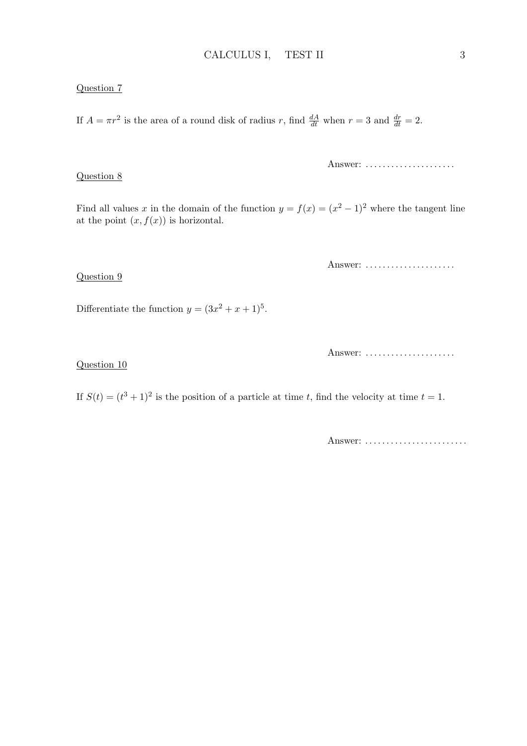#### Question 7

Question 8

Question 9

If  $A = \pi r^2$  is the area of a round disk of radius r, find  $\frac{dA}{dt}$  when  $r = 3$  and  $\frac{dr}{dt} = 2$ .

Answer: ......................

Find all values x in the domain of the function  $y = f(x) = (x^2 - 1)^2$  where the tangent line at the point  $(x, f(x))$  is horizontal.

Answer: ......................

Differentiate the function  $y = (3x^2 + x + 1)^5$ .

Answer: .....................

#### Question 10

If  $S(t) = (t^3 + 1)^2$  is the position of a particle at time t, find the velocity at time  $t = 1$ .

Answer: ..........................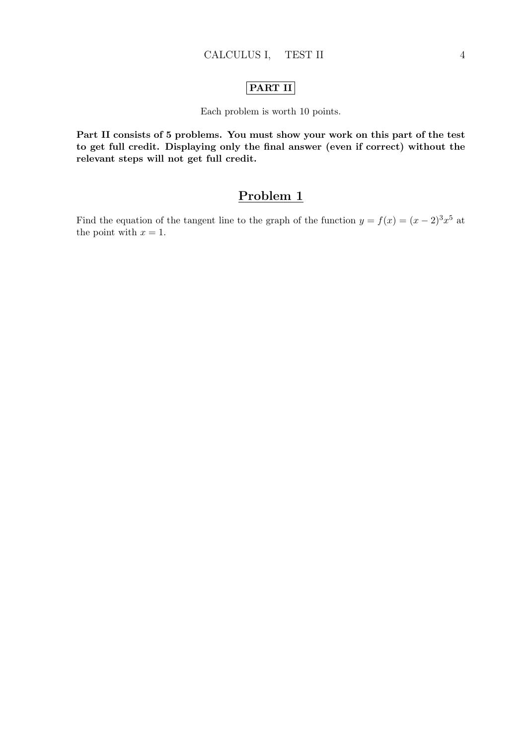### PART II

#### Each problem is worth 10 points.

Part II consists of 5 problems. You must show your work on this part of the test to get full credit. Displaying only the final answer (even if correct) without the relevant steps will not get full credit.

# Problem 1

Find the equation of the tangent line to the graph of the function  $y = f(x) = (x - 2)^3 x^5$  at the point with  $x = 1$ .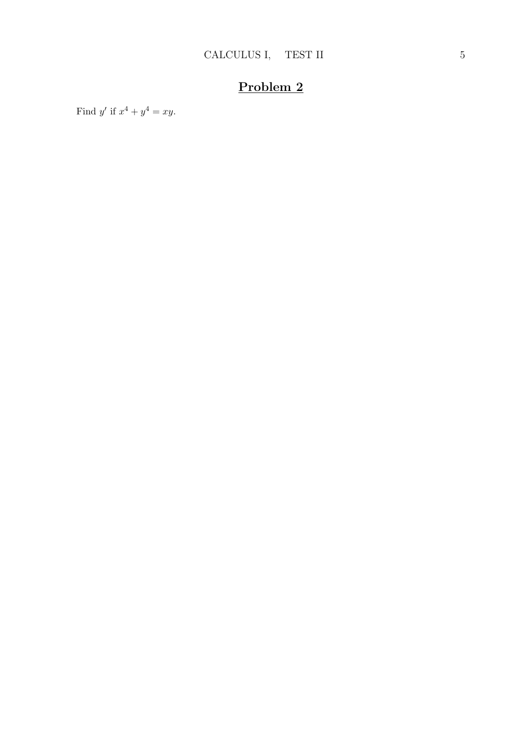Find y' if  $x^4 + y^4 = xy$ .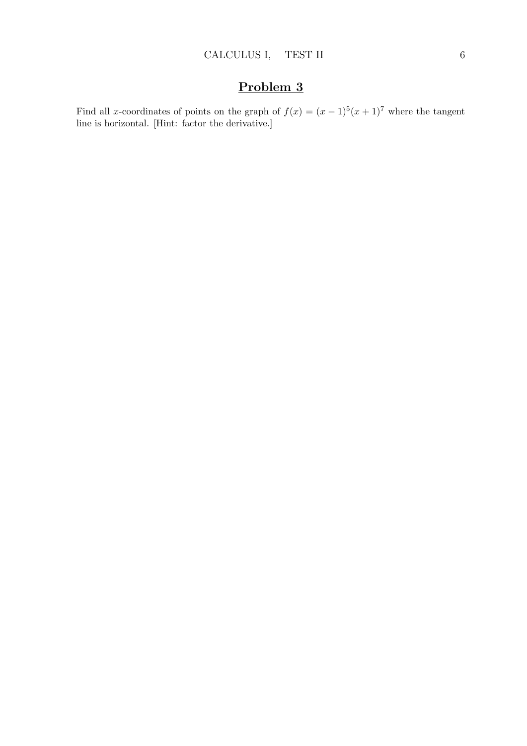Find all x-coordinates of points on the graph of  $f(x) = (x - 1)^5(x + 1)^7$  where the tangent line is horizontal. [Hint: factor the derivative.]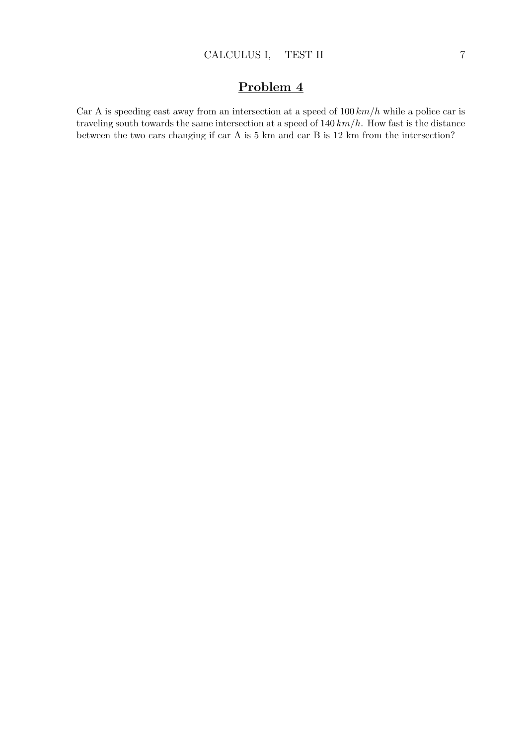Car A is speeding east away from an intersection at a speed of  $100 \, km/h$  while a police car is traveling south towards the same intersection at a speed of  $140 \, km/h$ . How fast is the distance between the two cars changing if car A is 5 km and car B is 12 km from the intersection?